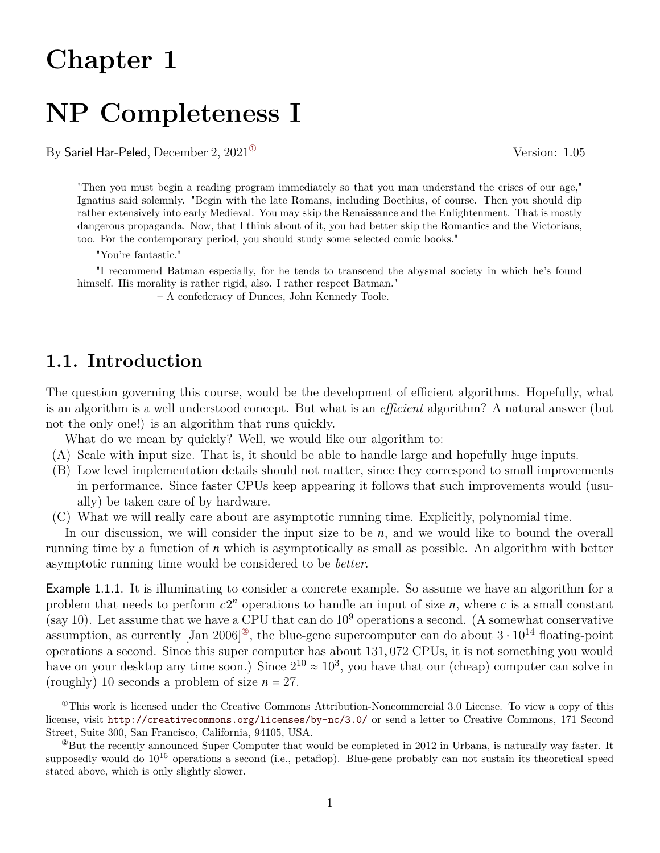# **Chapter 1**

# **NP Completeness I**

By Sariel Har-Peled, December 2,  $2021^{\circ}$  Version: 1.05

"Then you must begin a reading program immediately so that you man understand the crises of our age," Ignatius said solemnly. "Begin with the late Romans, including Boethius, of course. Then you should dip rather extensively into early Medieval. You may skip the Renaissance and the Enlightenment. That is mostly dangerous propaganda. Now, that I think about of it, you had better skip the Romantics and the Victorians, too. For the contemporary period, you should study some selected comic books."

"You're fantastic."

"I recommend Batman especially, for he tends to transcend the abysmal society in which he's found himself. His morality is rather rigid, also. I rather respect Batman."

– A confederacy of Dunces, John Kennedy Toole.

## **1.1. Introduction**

The question governing this course, would be the development of efficient algorithms. Hopefully, what is an algorithm is a well understood concept. But what is an *efficient* algorithm? A natural answer (but not the only one!) is an algorithm that runs quickly.

What do we mean by quickly? Well, we would like our algorithm to:

- (A) Scale with input size. That is, it should be able to handle large and hopefully huge inputs.
- (B) Low level implementation details should not matter, since they correspond to small improvements in performance. Since faster CPUs keep appearing it follows that such improvements would (usually) be taken care of by hardware.
- (C) What we will really care about are asymptotic running time. Explicitly, polynomial time.

In our discussion, we will consider the input size to be  $n$ , and we would like to bound the overall running time by a function of  $n$  which is asymptotically as small as possible. An algorithm with better asymptotic running time would be considered to be *better*.

Example 1.1.1. It is illuminating to consider a concrete example. So assume we have an algorithm for a problem that needs to perform  $c2^n$  operations to handle an input of size *n*, where *c* is a small constant (say 10). Let assume that we have a CPU that can do  $10^9$  operations a second. (A somewhat conservative assumption, as currently [Jan 2006]<sup> $\textdegree$ </sup>, the blue-gene supercomputer can do about  $3 \cdot 10^{14}$  floating-point operations a second. Since this super computer has about 131, 072 CPUs, it is not something you would have on your desktop any time soon.) Since  $2^{10} \approx 10^3$ , you have that our (cheap) computer can solve in (roughly) 10 seconds a problem of size  $n = 27$ .

<span id="page-0-0"></span> $^{\circ}$ This work is licensed under the Creative Commons Attribution-Noncommercial 3.0 License. To view a copy of this license, visit <http://creativecommons.org/licenses/by-nc/3.0/> or send a letter to Creative Commons, 171 Second Street, Suite 300, San Francisco, California, 94105, USA.

<span id="page-0-1"></span><sup>&</sup>lt;sup>2</sup>But the recently announced Super Computer that would be completed in 2012 in Urbana, is naturally way faster. It supposedly would do  $10^{15}$  operations a second (i.e., petaflop). Blue-gene probably can not sustain its theoretical speed stated above, which is only slightly slower.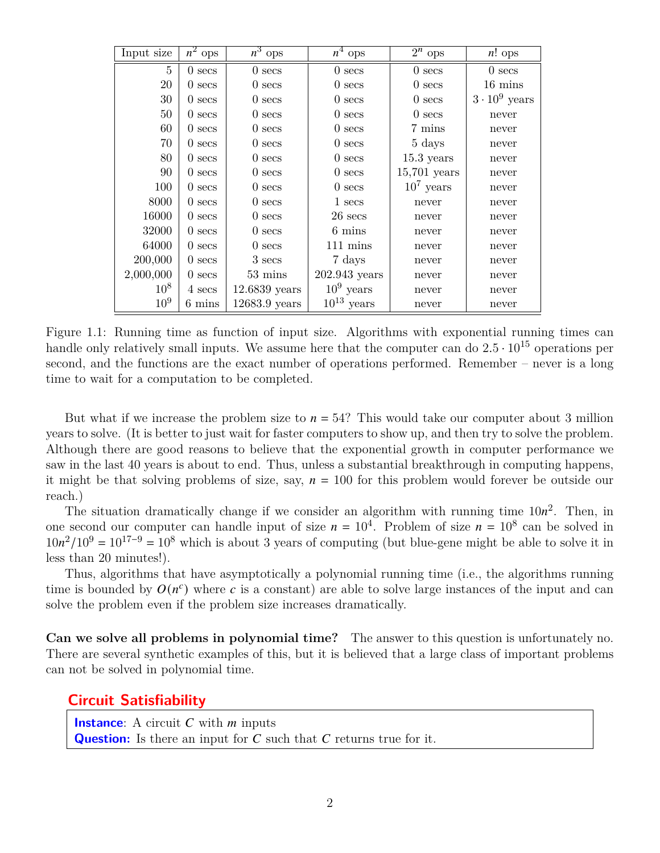| Input size     | $\overline{n^2}$ ops | $\overline{n^3}$ ops | $\overline{n^4}$ ops  | $2^n$ ops        | $n!$ ops            |
|----------------|----------------------|----------------------|-----------------------|------------------|---------------------|
| $\overline{5}$ | $0$ secs             | $0$ secs             | $0$ secs              | $0$ secs         | $0$ secs            |
| 20             | $0$ secs             | $0$ secs             | $0$ secs              | $0$ secs         | $16 \text{ mins}$   |
| 30             | $0$ secs             | $0$ secs             | $0$ secs              | $0$ secs         | $3\cdot 10^9$ years |
| 50             | $0$ secs             | $0$ secs             | $0$ secs              | $0$ secs         | never               |
| 60             | $0$ secs             | $0$ secs             | $0$ secs              | 7 mins           | never               |
| 70             | $0$ secs             | $0$ secs             | $0$ secs              | 5 days           | never               |
| 80             | $0$ secs             | $0$ secs             | $0$ secs              | $15.3$ years     | never               |
| 90             | $0$ secs             | $0$ secs             | $0$ secs              | $15,\!701$ years | never               |
| 100            | $0$ secs             | $0$ secs             | $0$ secs              | $10^7$ years     | never               |
| 8000           | $0$ secs             | $0$ secs             | 1 secs                | never            | never               |
| 16000          | $0$ secs             | $0$ secs             | $26$ secs             | never            | never               |
| 32000          | $0$ secs             | $0$ secs             | 6 mins                | never            | never               |
| 64000          | $0$ secs             | $0$ secs             | $111 \text{ mins}$    | never            | never               |
| 200,000        | $0$ secs             | 3 secs               | 7 days                | never            | never               |
| 2,000,000      | $0$ secs             | $53 \text{ mins}$    | 202.943 years         | never            | never               |
| $10^{8}$       | 4 secs               | $12.6839$ years      | $10^9$ years          | never            | never               |
| $10^{9}$       | 6 mins               | $12683.9$ years      | $10^{13}~{\rm years}$ | never            | never               |

Figure 1.1: Running time as function of input size. Algorithms with exponential running times can handle only relatively small inputs. We assume here that the computer can do  $2.5 \cdot 10^{15}$  operations per second, and the functions are the exact number of operations performed. Remember – never is a long time to wait for a computation to be completed.

But what if we increase the problem size to  $n = 54$ ? This would take our computer about 3 million years to solve. (It is better to just wait for faster computers to show up, and then try to solve the problem. Although there are good reasons to believe that the exponential growth in computer performance we saw in the last 40 years is about to end. Thus, unless a substantial breakthrough in computing happens, it might be that solving problems of size, say,  $n = 100$  for this problem would forever be outside our reach.)

The situation dramatically change if we consider an algorithm with running time  $10n^2$ . Then, in one second our computer can handle input of size  $n = 10^4$ . Problem of size  $n = 10^8$  can be solved in  $10n^2/10^9 = 10^{17-9} = 10^8$  which is about 3 years of computing (but blue-gene might be able to solve it in less than 20 minutes!).

Thus, algorithms that have asymptotically a polynomial running time (i.e., the algorithms running time is bounded by  $O(n^c)$  where c is a constant) are able to solve large instances of the input and can solve the problem even if the problem size increases dramatically.

**Can we solve all problems in polynomial time?** The answer to this question is unfortunately no. There are several synthetic examples of this, but it is believed that a large class of important problems can not be solved in polynomial time.

#### **Circuit Satisfiability**

**Instance:** A circuit  $C$  with  $m$  inputs **Question:** Is there an input for  $C$  such that  $C$  returns true for it.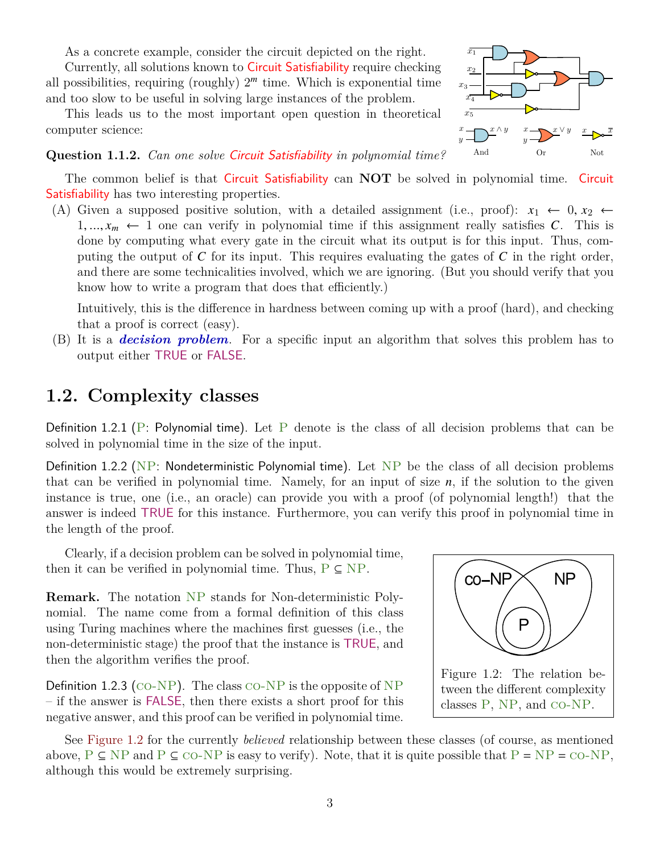As a concrete example, consider the circuit depicted on the right.

Currently, all solutions known to Circuit Satisfiability require checking all possibilities, requiring (roughly)  $2^m$  time. Which is exponential time and too slow to be useful in solving large instances of the problem.

This leads us to the most important open question in theoretical computer science:



#### **Question 1.1.2.** *Can one solve* Circuit Satisfiability *in polynomial time?*

The common belief is that Circuit Satisfiability can **NOT** be solved in polynomial time. Circuit Satisfiability has two interesting properties.

(A) Given a supposed positive solution, with a detailed assignment (i.e., proof):  $x_1 \leftarrow 0, x_2 \leftarrow$  $1, ..., x_m \leftarrow 1$  one can verify in polynomial time if this assignment really satisfies C. This is done by computing what every gate in the circuit what its output is for this input. Thus, computing the output of  $C$  for its input. This requires evaluating the gates of  $C$  in the right order, and there are some technicalities involved, which we are ignoring. (But you should verify that you know how to write a program that does that efficiently.)

Intuitively, this is the difference in hardness between coming up with a proof (hard), and checking that a proof is correct (easy).

(B) It is a *decision problem*. For a specific input an algorithm that solves this problem has to output either TRUE or FALSE.

### **1.2. Complexity classes**

Definition 1.2.1 (P: Polynomial time). Let P denote is the class of all decision problems that can be solved in polynomial time in the size of the input.

Definition 1.2.2 (NP: Nondeterministic Polynomial time). Let NP be the class of all decision problems that can be verified in polynomial time. Namely, for an input of size  $n$ , if the solution to the given instance is true, one (i.e., an oracle) can provide you with a proof (of polynomial length!) that the answer is indeed TRUE for this instance. Furthermore, you can verify this proof in polynomial time in the length of the proof.

Clearly, if a decision problem can be solved in polynomial time, then it can be verified in polynomial time. Thus,  $P \subseteq NP$ .

**Remark.** The notation NP stands for Non-deterministic Polynomial. The name come from a formal definition of this class using Turing machines where the machines first guesses (i.e., the non-deterministic stage) the proof that the instance is TRUE, and then the algorithm verifies the proof.

**Definition 1.2.3** (CO-NP). The class CO-NP is the opposite of NP – if the answer is FALSE, then there exists a short proof for this negative answer, and this proof can be verified in polynomial time.

<span id="page-2-0"></span>

See [Figure 1.2](#page-2-0) for the currently *believed* relationship between these classes (of course, as mentioned above,  $P \subseteq NP$  and  $P \subseteq CO-NP$  is easy to verify). Note, that it is quite possible that  $P = NP = CO-NP$ , although this would be extremely surprising.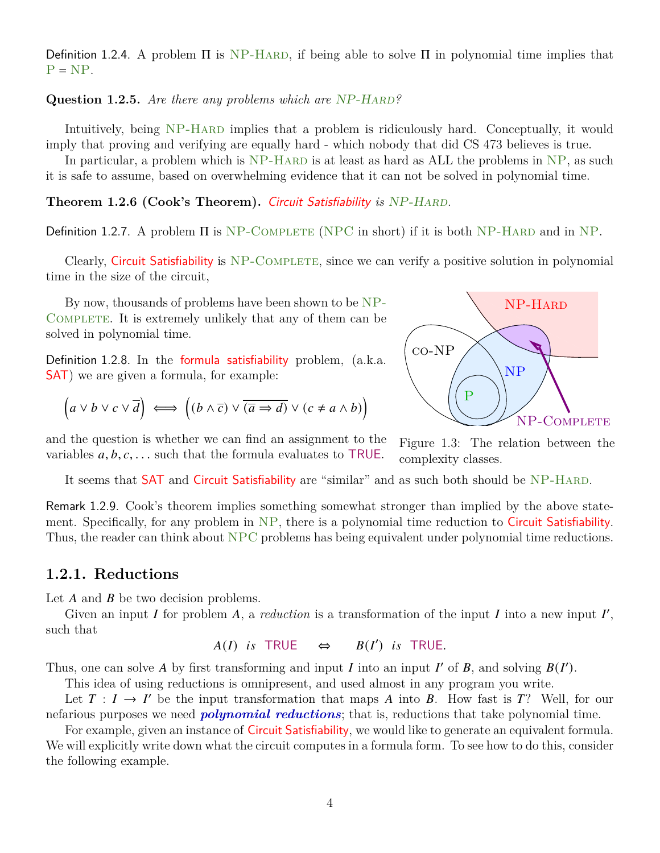Definition 1.2.4. A problem  $\Pi$  is NP-HARD, if being able to solve  $\Pi$  in polynomial time implies that  $P = NP$ .

**Question 1.2.5.** *Are there any problems which are* NP-HARD?

Intuitively, being NP-HARD implies that a problem is ridiculously hard. Conceptually, it would imply that proving and verifying are equally hard - which nobody that did CS 473 believes is true.

In particular, a problem which is  $NP-HARD$  is at least as hard as ALL the problems in  $NP$ , as such it is safe to assume, based on overwhelming evidence that it can not be solved in polynomial time.

**Theorem 1.2.6 (Cook's Theorem).** Circuit Satisfiability is NP-HARD.

Definition 1.2.7. A problem  $\Pi$  is NP-COMPLETE (NPC in short) if it is both NP-HARD and in NP.

Clearly, Circuit Satisfiability is NP-COMPLETE, since we can verify a positive solution in polynomial time in the size of the circuit,

By now, thousands of problems have been shown to be NP-COMPLETE. It is extremely unlikely that any of them can be solved in polynomial time.

Definition 1.2.8. In the formula satisfiability problem, (a.k.a. SAT) we are given a formula, for example:

$$
(a \lor b \lor c \lor \overline{d}) \iff ((b \land \overline{c}) \lor \overline{(\overline{a} \Rightarrow d)} \lor (c \neq a \land b))
$$



and the question is whether we can find an assignment to the variables  $a, b, c, \ldots$  such that the formula evaluates to TRUE.

Figure 1.3: The relation between the complexity classes.

It seems that **SAT** and **Circuit Satisfiability** are "similar" and as such both should be NP-HARD.

Remark 1.2.9. Cook's theorem implies something somewhat stronger than implied by the above statement. Specifically, for any problem in NP, there is a polynomial time reduction to Circuit Satisfiability. Thus, the reader can think about NPC problems has being equivalent under polynomial time reductions.

#### **1.2.1. Reductions**

Let  $A$  and  $B$  be two decision problems.

Given an input I for problem  $A$ , a *reduction* is a transformation of the input I into a new input I', such that

```
A(I) is TRUE \Leftrightarrow") is TRUE.
```
Thus, one can solve A by first transforming and input I into an input I' of B, and solving  $B(I')$ .

This idea of using reductions is omnipresent, and used almost in any program you write.

Let  $T : I \to I'$  be the input transformation that maps A into B. How fast is T? Well, for our nefarious purposes we need *polynomial reductions*; that is, reductions that take polynomial time.

For example, given an instance of Circuit Satisfiability, we would like to generate an equivalent formula. We will explicitly write down what the circuit computes in a formula form. To see how to do this, consider the following example.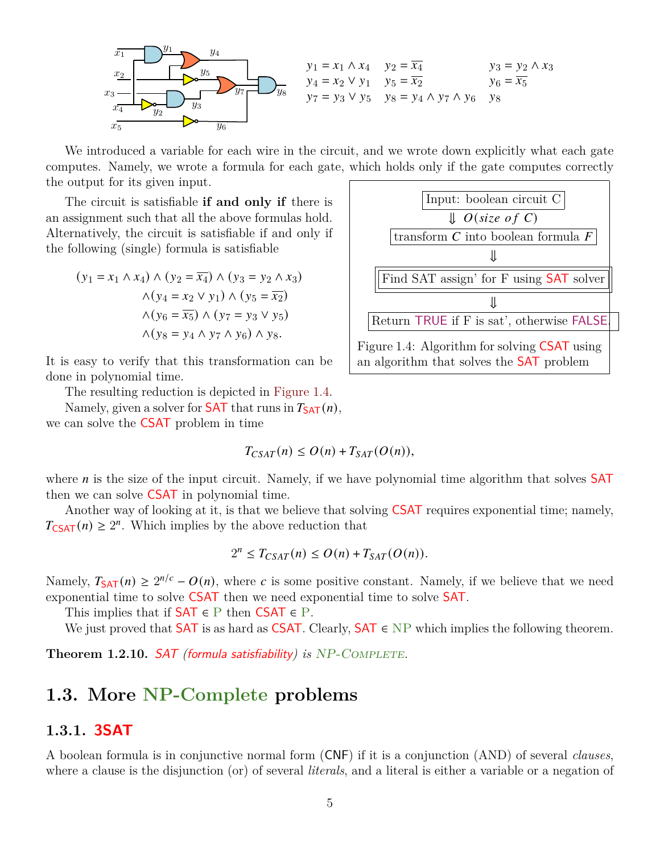

We introduced a variable for each wire in the circuit, and we wrote down explicitly what each gate computes. Namely, we wrote a formula for each gate, which holds only if the gate computes correctly the output for its given input.

The circuit is satisfiable **if and only if** there is an assignment such that all the above formulas hold. Alternatively, the circuit is satisfiable if and only if the following (single) formula is satisfiable

$$
(y_1 = x_1 \land x_4) \land (y_2 = \overline{x_4}) \land (y_3 = y_2 \land x_3)
$$

$$
\land (y_4 = x_2 \lor y_1) \land (y_5 = \overline{x_2})
$$

$$
\land (y_6 = \overline{x_5}) \land (y_7 = y_3 \lor y_5)
$$

$$
\land (y_8 = y_4 \land y_7 \land y_6) \land y_8.
$$

It is easy to verify that this transformation can be done in polynomial time.

The resulting reduction is depicted in [Figure 1.4.](#page-4-0)

Namely, given a solver for **SAT** that runs in  $T_{SAT}(n)$ , we can solve the CSAT problem in time

$$
T_{CSAT}(n) \le O(n) + T_{SAT}(O(n)),
$$



Another way of looking at it, is that we believe that solving CSAT requires exponential time; namely,  $T_{\text{CSAT}}(n) \geq 2^n$ . Which implies by the above reduction that

$$
2^{n} \leq T_{CSAT}(n) \leq O(n) + T_{SAT}(O(n)).
$$

Namely,  $T_{SAT}(n) \ge 2^{n/c} - O(n)$ , where c is some positive constant. Namely, if we believe that we need exponential time to solve CSAT then we need exponential time to solve SAT.

This implies that if  $SAT \in P$  then  $CSAT \in P$ .

We just proved that **SAT** is as hard as **CSAT**. Clearly, **SAT**  $\in$  NP which implies the following theorem.

**Theorem 1.2.10. SAT** *(formula satisfiability) is* NP-COMPLETE.

## **1.3. More NP-Complete problems**

#### **1.3.1. 3SAT**

A boolean formula is in conjunctive normal form (CNF) if it is a conjunction (AND) of several *clauses*, where a clause is the disjunction (or) of several *literals*, and a literal is either a variable or a negation of



<span id="page-4-0"></span>an algorithm that solves the SAT problem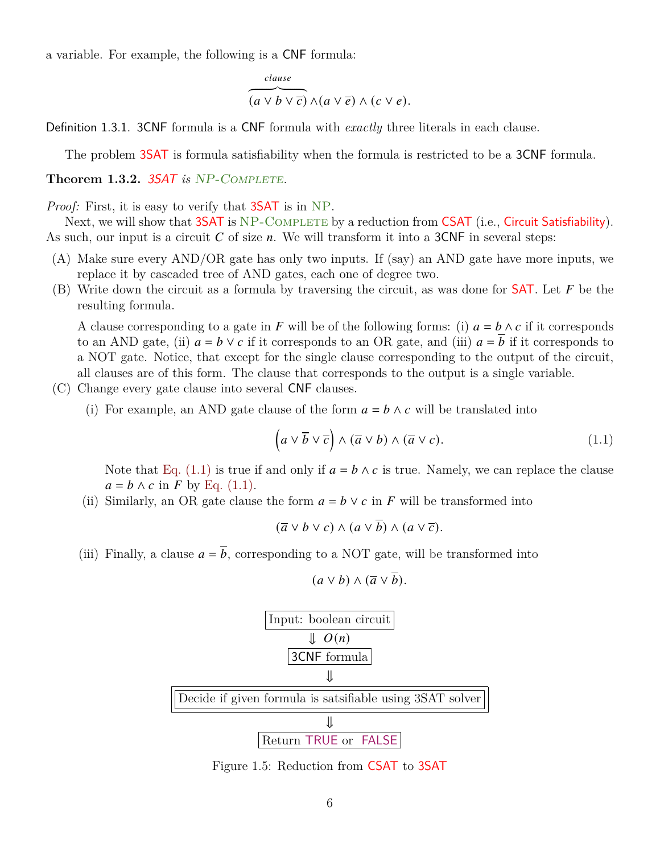a variable. For example, the following is a CNF formula:

$$
\overbrace{(a \vee b \vee \overline{c}) \wedge (a \vee \overline{e}) \wedge (c \vee e)}^{clause}.
$$

Definition 1.3.1. 3CNF formula is a CNF formula with *exactly* three literals in each clause.

The problem 3SAT is formula satisfiability when the formula is restricted to be a 3CNF formula.

#### **Theorem 1.3.2.** 3SAT *is* NP-Complete*.*

*Proof:* First, it is easy to verify that **3SAT** is in NP.

Next, we will show that 3SAT is NP-COMPLETE by a reduction from CSAT (i.e., Circuit Satisfiability). As such, our input is a circuit  $C$  of size  $n$ . We will transform it into a 3CNF in several steps:

- (A) Make sure every AND/OR gate has only two inputs. If (say) an AND gate have more inputs, we replace it by cascaded tree of AND gates, each one of degree two.
- (B) Write down the circuit as a formula by traversing the circuit, as was done for **SAT**. Let  $F$  be the resulting formula.

A clause corresponding to a gate in F will be of the following forms: (i)  $a = b \wedge c$  if it corresponds to an AND gate, (ii)  $a = b \vee c$  if it corresponds to an OR gate, and (iii)  $a = b$  if it corresponds to a NOT gate. Notice, that except for the single clause corresponding to the output of the circuit, all clauses are of this form. The clause that corresponds to the output is a single variable.

- (C) Change every gate clause into several CNF clauses.
	- (i) For example, an AND gate clause of the form  $a = b \wedge c$  will be translated into

$$
\left(a\vee\overline{b}\vee\overline{c}\right)\wedge\left(\overline{a}\vee b\right)\wedge\left(\overline{a}\vee c\right).
$$
\n(1.1)

Note that [Eq. \(1.1\)](#page-5-0) is true if and only if  $a = b \wedge c$  is true. Namely, we can replace the clause  $a = b \wedge c$  in F by [Eq. \(1.1\).](#page-5-0)

(ii) Similarly, an OR gate clause the form  $a = b \vee c$  in F will be transformed into

$$
(\overline{a} \vee b \vee c) \wedge (a \vee \overline{b}) \wedge (a \vee \overline{c}).
$$

<span id="page-5-0"></span> $(a \vee b) \wedge (\overline{a} \vee \overline{b}).$ 

<span id="page-5-1"></span>(iii) Finally, a clause  $a = \overline{b}$ , corresponding to a NOT gate, will be transformed into

| Input: boolean circuit                                   |
|----------------------------------------------------------|
| $\Downarrow O(n)$                                        |
| 3CNF formula                                             |
| $\Downarrow$                                             |
| Decide if given formula is satisfiable using 3SAT solver |
| $\Downarrow$                                             |
| Return TRUE or FALSE                                     |

Figure 1.5: Reduction from CSAT to 3SAT